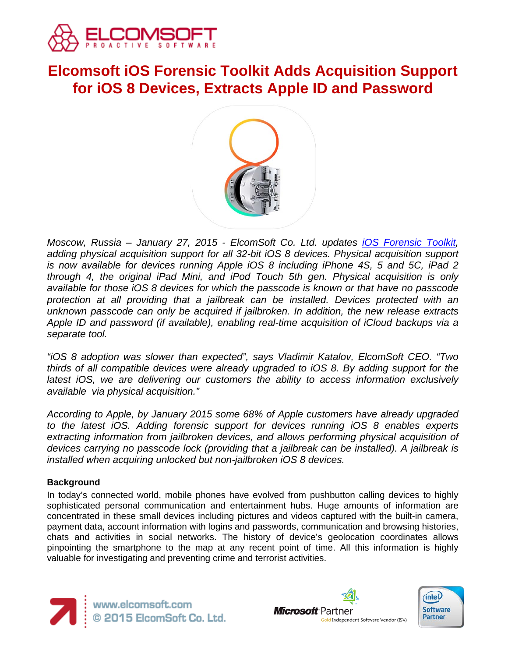

# **Elcomsoft iOS Forensic Toolkit Adds Acquisition Support for iOS 8 Devices, Extracts Apple ID and Password**



*Moscow, Russia – January 27, 2015 - ElcomSoft Co. Ltd. updates [iOS Forensic Toolkit,](http://ios.elcomsoft.com/) adding physical acquisition support for all 32-bit iOS 8 devices. Physical acquisition support is now available for devices running Apple iOS 8 including iPhone 4S, 5 and 5C, iPad 2 through 4, the original iPad Mini, and iPod Touch 5th gen. Physical acquisition is only available for those iOS 8 devices for which the passcode is known or that have no passcode protection at all providing that a jailbreak can be installed. Devices protected with an unknown passcode can only be acquired if jailbroken. In addition, the new release extracts Apple ID and password (if available), enabling real-time acquisition of iCloud backups via a separate tool.*

*"iOS 8 adoption was slower than expected", says Vladimir Katalov, ElcomSoft CEO. "Two thirds of all compatible devices were already upgraded to iOS 8. By adding support for the latest iOS, we are delivering our customers the ability to access information exclusively available via physical acquisition."*

*According to Apple, by January 2015 some 68% of Apple customers have already upgraded to the latest iOS. Adding forensic support for devices running iOS 8 enables experts extracting information from jailbroken devices, and allows performing physical acquisition of devices carrying no passcode lock (providing that a jailbreak can be installed). A jailbreak is installed when acquiring unlocked but non-jailbroken iOS 8 devices.*

## **Background**

In today's connected world, mobile phones have evolved from pushbutton calling devices to highly sophisticated personal communication and entertainment hubs. Huge amounts of information are concentrated in these small devices including pictures and videos captured with the built-in camera, payment data, account information with logins and passwords, communication and browsing histories, chats and activities in social networks. The history of device's geolocation coordinates allows pinpointing the smartphone to the map at any recent point of time. All this information is highly valuable for investigating and preventing crime and terrorist activities.